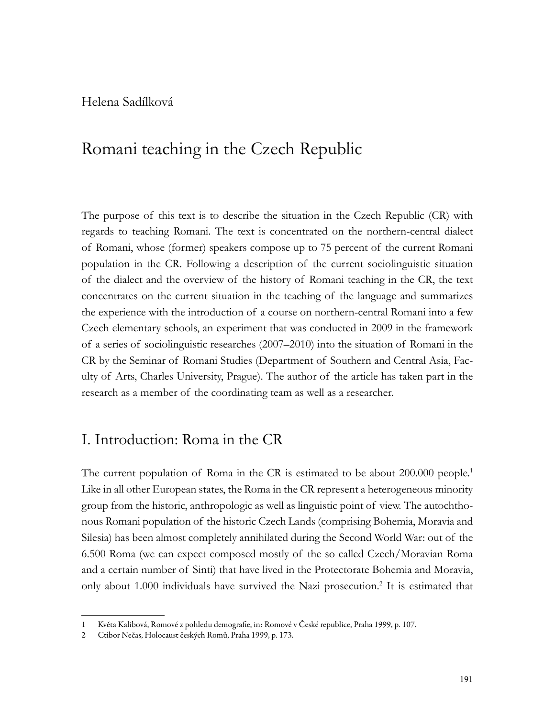Helena Sadílková

# Romani teaching in the Czech Republic

The purpose of this text is to describe the situation in the Czech Republic (CR) with regards to teaching Romani. The text is concentrated on the northern-central dialect of Romani, whose (former) speakers compose up to 75 percent of the current Romani population in the CR. Following a description of the current sociolinguistic situation of the dialect and the overview of the history of Romani teaching in the CR, the text concentrates on the current situation in the teaching of the language and summarizes the experience with the introduction of a course on northern-central Romani into a few Czech elementary schools, an experiment that was conducted in 2009 in the framework of a series of sociolinguistic researches (2007–2010) into the situation of Romani in the CR by the Seminar of Romani Studies (Department of Southern and Central Asia, Faculty of Arts, Charles University, Prague). The author of the article has taken part in the research as a member of the coordinating team as well as a researcher.

#### I. Introduction: Roma in the CR

The current population of Roma in the CR is estimated to be about 200.000 people.<sup>1</sup> Like in all other European states, the Roma in the CR represent a heterogeneous minority group from the historic, anthropologic as well as linguistic point of view. The autochthonous Romani population of the historic Czech Lands (comprising Bohemia, Moravia and Silesia) has been almost completely annihilated during the Second World War: out of the 6.500 Roma (we can expect composed mostly of the so called Czech/Moravian Roma and a certain number of Sinti) that have lived in the Protectorate Bohemia and Moravia, only about 1.000 individuals have survived the Nazi prosecution.2 It is estimated that

<sup>1</sup> Květa Kalibová, Romové z pohledu demografie, in: Romové v České republice, Praha 1999, p. 107.

<sup>2</sup> Ctibor Nečas, Holocaust českých Romů, Praha 1999, p. 173.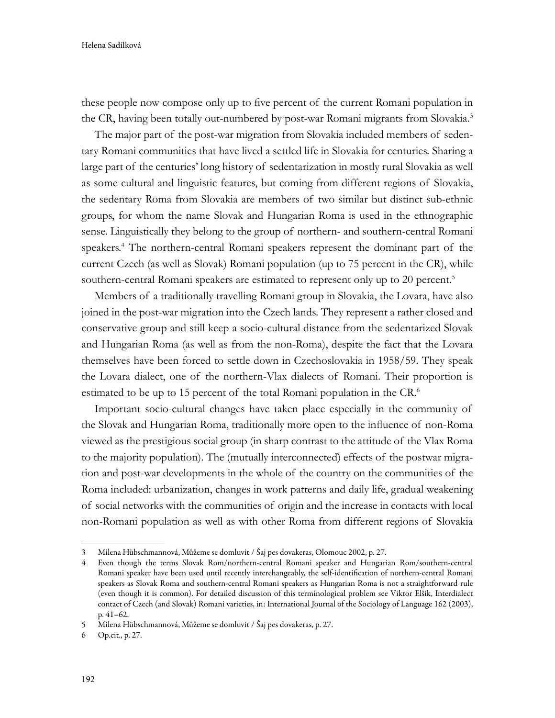these people now compose only up to five percent of the current Romani population in the CR, having been totally out-numbered by post-war Romani migrants from Slovakia.<sup>3</sup>

The major part of the post-war migration from Slovakia included members of sedentary Romani communities that have lived a settled life in Slovakia for centuries. Sharing a large part of the centuries' long history of sedentarization in mostly rural Slovakia as well as some cultural and linguistic features, but coming from different regions of Slovakia, the sedentary Roma from Slovakia are members of two similar but distinct sub-ethnic groups, for whom the name Slovak and Hungarian Roma is used in the ethnographic sense. Linguistically they belong to the group of northern- and southern-central Romani speakers.4 The northern-central Romani speakers represent the dominant part of the current Czech (as well as Slovak) Romani population (up to 75 percent in the CR), while southern-central Romani speakers are estimated to represent only up to 20 percent.<sup>5</sup>

Members of a traditionally travelling Romani group in Slovakia, the Lovara, have also joined in the post-war migration into the Czech lands. They represent a rather closed and conservative group and still keep a socio-cultural distance from the sedentarized Slovak and Hungarian Roma (as well as from the non-Roma), despite the fact that the Lovara themselves have been forced to settle down in Czechoslovakia in 1958/59. They speak the Lovara dialect, one of the northern-Vlax dialects of Romani. Their proportion is estimated to be up to 15 percent of the total Romani population in the CR.6

Important socio-cultural changes have taken place especially in the community of the Slovak and Hungarian Roma, traditionally more open to the influence of non-Roma viewed as the prestigious social group (in sharp contrast to the attitude of the Vlax Roma to the majority population). The (mutually interconnected) effects of the postwar migration and post-war developments in the whole of the country on the communities of the Roma included: urbanization, changes in work patterns and daily life, gradual weakening of social networks with the communities of origin and the increase in contacts with local non-Romani population as well as with other Roma from different regions of Slovakia

<sup>3</sup> Milena Hübschmannová, Můžeme se domluvit / Šaj pes dovakeras, Olomouc 2002, p. 27.

<sup>4</sup> Even though the terms Slovak Rom/northern-central Romani speaker and Hungarian Rom/southern-central Romani speaker have been used until recently interchangeably, the self-identification of northern-central Romani speakers as Slovak Roma and southern-central Romani speakers as Hungarian Roma is not a straightforward rule (even though it is common). For detailed discussion of this terminological problem see Viktor Elšík, Interdialect contact of Czech (and Slovak) Romani varieties, in: International Journal of the Sociology of Language 162 (2003), p. 41–62.

<sup>5</sup> Milena Hübschmannová, Můžeme se domluvit / Šaj pes dovakeras, p. 27.

<sup>6</sup> Op.cit., p. 27.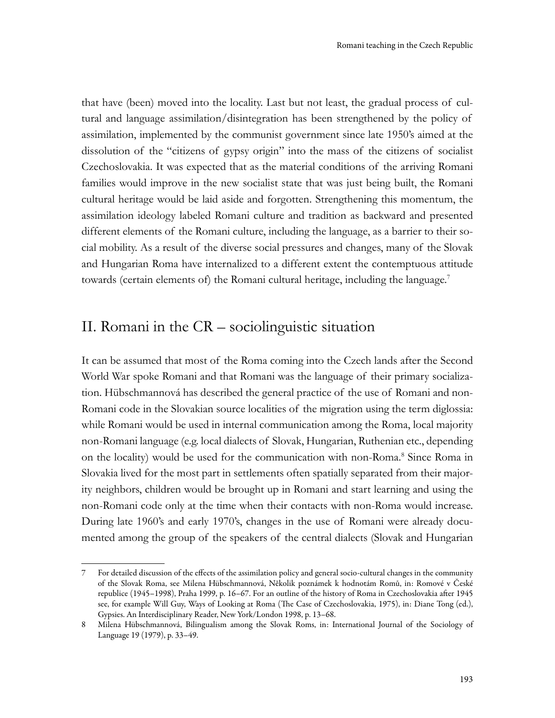that have (been) moved into the locality. Last but not least, the gradual process of cultural and language assimilation/disintegration has been strengthened by the policy of assimilation, implemented by the communist government since late 1950's aimed at the dissolution of the "citizens of gypsy origin" into the mass of the citizens of socialist Czechoslovakia. It was expected that as the material conditions of the arriving Romani families would improve in the new socialist state that was just being built, the Romani cultural heritage would be laid aside and forgotten. Strengthening this momentum, the assimilation ideology labeled Romani culture and tradition as backward and presented different elements of the Romani culture, including the language, as a barrier to their social mobility. As a result of the diverse social pressures and changes, many of the Slovak and Hungarian Roma have internalized to a different extent the contemptuous attitude towards (certain elements of) the Romani cultural heritage, including the language.<sup>7</sup>

#### II. Romani in the CR – sociolinguistic situation

It can be assumed that most of the Roma coming into the Czech lands after the Second World War spoke Romani and that Romani was the language of their primary socialization. Hübschmannová has described the general practice of the use of Romani and non-Romani code in the Slovakian source localities of the migration using the term diglossia: while Romani would be used in internal communication among the Roma, local majority non-Romani language (e.g. local dialects of Slovak, Hungarian, Ruthenian etc., depending on the locality) would be used for the communication with non-Roma.<sup>8</sup> Since Roma in Slovakia lived for the most part in settlements often spatially separated from their majority neighbors, children would be brought up in Romani and start learning and using the non-Romani code only at the time when their contacts with non-Roma would increase. During late 1960's and early 1970's, changes in the use of Romani were already documented among the group of the speakers of the central dialects (Slovak and Hungarian

<sup>7</sup> For detailed discussion of the effects of the assimilation policy and general socio-cultural changes in the community of the Slovak Roma, see Milena Hübschmannová, Několik poznámek k hodnotám Romů, in: Romové v České republice (1945–1998), Praha 1999, p. 16–67. For an outline of the history of Roma in Czechoslovakia after 1945 see, for example Will Guy, Ways of Looking at Roma (The Case of Czechoslovakia, 1975), in: Diane Tong (ed.), Gypsies. An Interdisciplinary Reader, New York/London 1998, p. 13–68.

<sup>8</sup> Milena Hübschmannová, Bilingualism among the Slovak Roms, in: International Journal of the Sociology of Language 19 (1979), p. 33–49.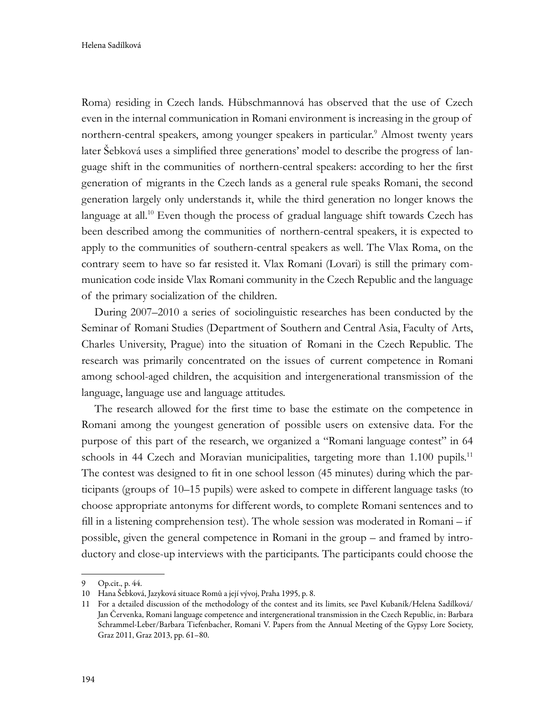Roma) residing in Czech lands. Hübschmannová has observed that the use of Czech even in the internal communication in Romani environment is increasing in the group of northern-central speakers, among younger speakers in particular.<sup>9</sup> Almost twenty years later Šebková uses a simplified three generations' model to describe the progress of language shift in the communities of northern-central speakers: according to her the first generation of migrants in the Czech lands as a general rule speaks Romani, the second generation largely only understands it, while the third generation no longer knows the language at all.<sup>10</sup> Even though the process of gradual language shift towards Czech has been described among the communities of northern-central speakers, it is expected to apply to the communities of southern-central speakers as well. The Vlax Roma, on the contrary seem to have so far resisted it. Vlax Romani (Lovari) is still the primary communication code inside Vlax Romani community in the Czech Republic and the language of the primary socialization of the children.

During 2007–2010 a series of sociolinguistic researches has been conducted by the Seminar of Romani Studies (Department of Southern and Central Asia, Faculty of Arts, Charles University, Prague) into the situation of Romani in the Czech Republic. The research was primarily concentrated on the issues of current competence in Romani among school-aged children, the acquisition and intergenerational transmission of the language, language use and language attitudes.

The research allowed for the first time to base the estimate on the competence in Romani among the youngest generation of possible users on extensive data. For the purpose of this part of the research, we organized a "Romani language contest" in 64 schools in 44 Czech and Moravian municipalities, targeting more than 1.100 pupils.<sup>11</sup> The contest was designed to fit in one school lesson (45 minutes) during which the participants (groups of 10–15 pupils) were asked to compete in different language tasks (to choose appropriate antonyms for different words, to complete Romani sentences and to fill in a listening comprehension test). The whole session was moderated in Romani – if possible, given the general competence in Romani in the group – and framed by introductory and close-up interviews with the participants. The participants could choose the

<sup>9</sup> Op.cit., p. 44.

<sup>10</sup> Hana Šebková, Jazyková situace Romů a její vývoj, Praha 1995, p. 8.

<sup>11</sup> For a detailed discussion of the methodology of the contest and its limits, see Pavel Kubaník/Helena Sadílková/ Jan Červenka, Romani language competence and intergenerational transmission in the Czech Republic, in: Barbara Schrammel-Leber/Barbara Tiefenbacher, Romani V. Papers from the Annual Meeting of the Gypsy Lore Society, Graz 2011, Graz 2013, pp. 61–80.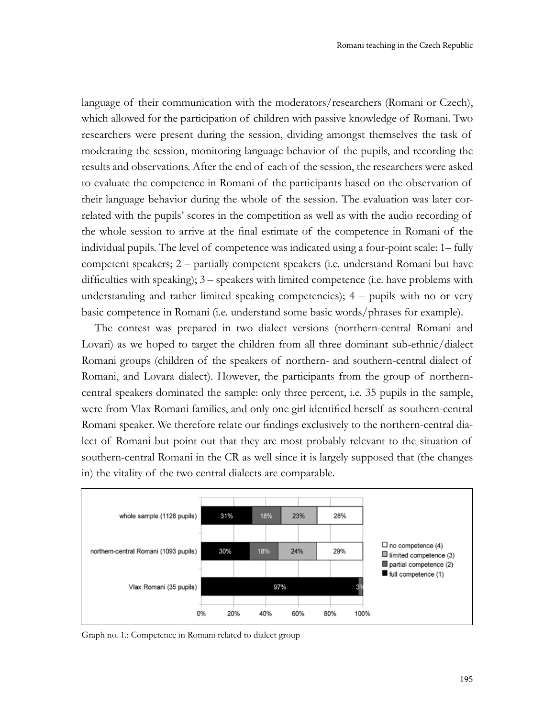language of their communication with the moderators/researchers (Romani or Czech), which allowed for the participation of children with passive knowledge of Romani. Two researchers were present during the session, dividing amongst themselves the task of moderating the session, monitoring language behavior of the pupils, and recording the results and observations. After the end of each of the session, the researchers were asked to evaluate the competence in Romani of the participants based on the observation of their language behavior during the whole of the session. The evaluation was later correlated with the pupils' scores in the competition as well as with the audio recording of the whole session to arrive at the final estimate of the competence in Romani of the individual pupils. The level of competence was indicated using a four-point scale: 1– fully competent speakers; 2 – partially competent speakers (i.e. understand Romani but have difficulties with speaking); 3 – speakers with limited competence (i.e. have problems with understanding and rather limited speaking competencies); 4 – pupils with no or very basic competence in Romani (i.e. understand some basic words/phrases for example).

The contest was prepared in two dialect versions (northern-central Romani and Lovari) as we hoped to target the children from all three dominant sub-ethnic/dialect Romani groups (children of the speakers of northern- and southern-central dialect of Romani, and Lovara dialect). However, the participants from the group of northerncentral speakers dominated the sample: only three percent, i.e. 35 pupils in the sample, were from Vlax Romani families, and only one girl identified herself as southern-central Romani speaker. We therefore relate our findings exclusively to the northern-central dialect of Romani but point out that they are most probably relevant to the situation of southern-central Romani in the CR as well since it is largely supposed that (the changes in) the vitality of the two central dialects are comparable.



Graph no. 1.: Competence in Romani related to dialect group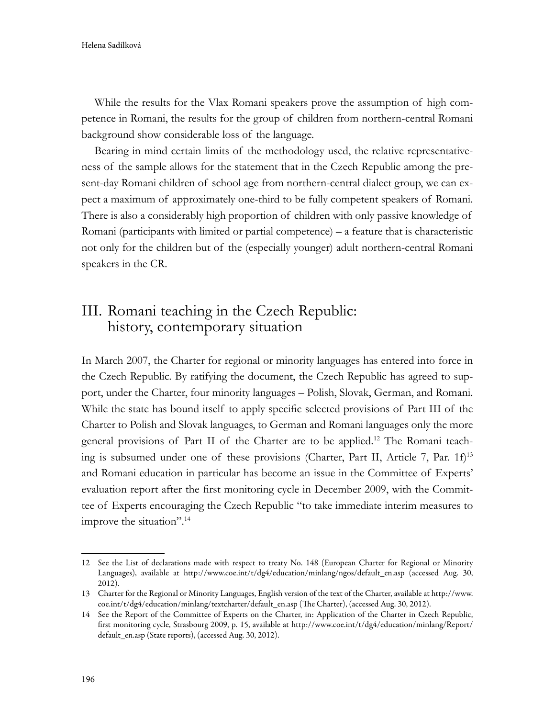While the results for the Vlax Romani speakers prove the assumption of high competence in Romani, the results for the group of children from northern-central Romani background show considerable loss of the language.

Bearing in mind certain limits of the methodology used, the relative representativeness of the sample allows for the statement that in the Czech Republic among the present-day Romani children of school age from northern-central dialect group, we can expect a maximum of approximately one-third to be fully competent speakers of Romani. There is also a considerably high proportion of children with only passive knowledge of Romani (participants with limited or partial competence) – a feature that is characteristic not only for the children but of the (especially younger) adult northern-central Romani speakers in the CR.

## III. Romani teaching in the Czech Republic: history, contemporary situation

In March 2007, the Charter for regional or minority languages has entered into force in the Czech Republic. By ratifying the document, the Czech Republic has agreed to support, under the Charter, four minority languages – Polish, Slovak, German, and Romani. While the state has bound itself to apply specific selected provisions of Part III of the Charter to Polish and Slovak languages, to German and Romani languages only the more general provisions of Part II of the Charter are to be applied.12 The Romani teaching is subsumed under one of these provisions (Charter, Part II, Article 7, Par. 1f)13 and Romani education in particular has become an issue in the Committee of Experts' evaluation report after the first monitoring cycle in December 2009, with the Committee of Experts encouraging the Czech Republic "to take immediate interim measures to improve the situation".14

<sup>12</sup> See the List of declarations made with respect to treaty No. 148 (European Charter for Regional or Minority Languages), available at http://www.coe.int/t/dg4/education/minlang/ngos/default\_en.asp (accessed Aug. 30, 2012).

<sup>13</sup> Charter for the Regional or Minority Languages, English version of the text of the Charter, available at http://www. coe.int/t/dg4/education/minlang/textcharter/default\_en.asp (The Charter), (accessed Aug. 30, 2012).

<sup>14</sup> See the Report of the Committee of Experts on the Charter, in: Application of the Charter in Czech Republic, first monitoring cycle, Strasbourg 2009, p. 15, available at http://www.coe.int/t/dg4/education/minlang/Report/ default\_en.asp (State reports), (accessed Aug. 30, 2012).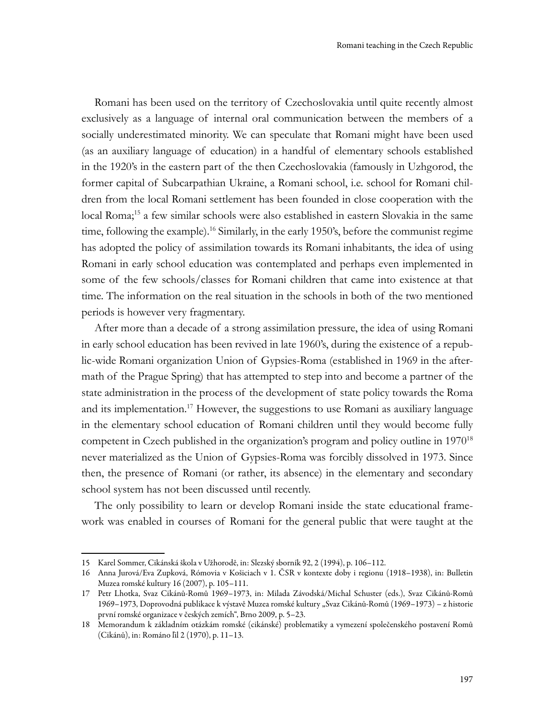Romani has been used on the territory of Czechoslovakia until quite recently almost exclusively as a language of internal oral communication between the members of a socially underestimated minority. We can speculate that Romani might have been used (as an auxiliary language of education) in a handful of elementary schools established in the 1920's in the eastern part of the then Czechoslovakia (famously in Uzhgorod, the former capital of Subcarpathian Ukraine, a Romani school, i.e. school for Romani children from the local Romani settlement has been founded in close cooperation with the local Roma;15 a few similar schools were also established in eastern Slovakia in the same time, following the example).<sup>16</sup> Similarly, in the early 1950's, before the communist regime has adopted the policy of assimilation towards its Romani inhabitants, the idea of using Romani in early school education was contemplated and perhaps even implemented in some of the few schools/classes for Romani children that came into existence at that time. The information on the real situation in the schools in both of the two mentioned periods is however very fragmentary.

After more than a decade of a strong assimilation pressure, the idea of using Romani in early school education has been revived in late 1960's, during the existence of a republic-wide Romani organization Union of Gypsies-Roma (established in 1969 in the aftermath of the Prague Spring) that has attempted to step into and become a partner of the state administration in the process of the development of state policy towards the Roma and its implementation.17 However, the suggestions to use Romani as auxiliary language in the elementary school education of Romani children until they would become fully competent in Czech published in the organization's program and policy outline in 1970<sup>18</sup> never materialized as the Union of Gypsies-Roma was forcibly dissolved in 1973. Since then, the presence of Romani (or rather, its absence) in the elementary and secondary school system has not been discussed until recently.

The only possibility to learn or develop Romani inside the state educational framework was enabled in courses of Romani for the general public that were taught at the

<sup>15</sup> Karel Sommer, Cikánská škola v Užhorodě, in: Slezský sborník 92, 2 (1994), p. 106–112.

<sup>16</sup> Anna Jurová/Eva Zupková, Rómovia v Košiciach v 1. ČSR v kontexte doby i regionu (1918–1938), in: Bulletin Muzea romské kultury 16 (2007), p. 105–111.

<sup>17</sup> Petr Lhotka, Svaz Cikánů-Romů 1969–1973, in: Milada Závodská/Michal Schuster (eds.), Svaz Cikánů-Romů 1969–1973, Doprovodná publikace k výstavě Muzea romské kultury "Svaz Cikánů-Romů (1969–1973) – z historie první romské organizace v českých zemích", Brno 2009, p. 5–23.

<sup>18</sup> Memorandum k základním otázkám romské (cikánské) problematiky a vymezení společenského postavení Romů (Cikánů), in: Románo ľil 2 (1970), p. 11–13.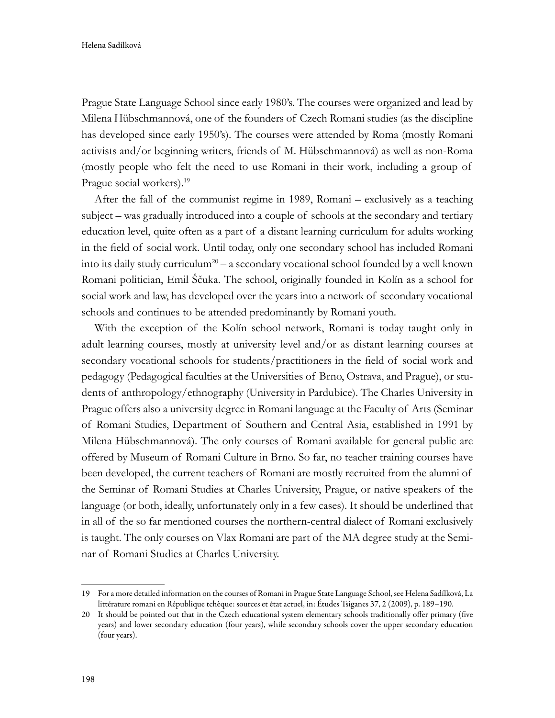Prague State Language School since early 1980's. The courses were organized and lead by Milena Hübschmannová, one of the founders of Czech Romani studies (as the discipline has developed since early 1950's). The courses were attended by Roma (mostly Romani activists and/or beginning writers, friends of M. Hübschmannová) as well as non-Roma (mostly people who felt the need to use Romani in their work, including a group of Prague social workers).<sup>19</sup>

After the fall of the communist regime in 1989, Romani – exclusively as a teaching subject – was gradually introduced into a couple of schools at the secondary and tertiary education level, quite often as a part of a distant learning curriculum for adults working in the field of social work. Until today, only one secondary school has included Romani into its daily study curriculum<sup>20</sup> – a secondary vocational school founded by a well known Romani politician, Emil Ščuka. The school, originally founded in Kolín as a school for social work and law, has developed over the years into a network of secondary vocational schools and continues to be attended predominantly by Romani youth.

With the exception of the Kolín school network, Romani is today taught only in adult learning courses, mostly at university level and/or as distant learning courses at secondary vocational schools for students/practitioners in the field of social work and pedagogy (Pedagogical faculties at the Universities of Brno, Ostrava, and Prague), or students of anthropology/ethnography (University in Pardubice). The Charles University in Prague offers also a university degree in Romani language at the Faculty of Arts (Seminar of Romani Studies, Department of Southern and Central Asia, established in 1991 by Milena Hübschmannová). The only courses of Romani available for general public are offered by Museum of Romani Culture in Brno. So far, no teacher training courses have been developed, the current teachers of Romani are mostly recruited from the alumni of the Seminar of Romani Studies at Charles University, Prague, or native speakers of the language (or both, ideally, unfortunately only in a few cases). It should be underlined that in all of the so far mentioned courses the northern-central dialect of Romani exclusively is taught. The only courses on Vlax Romani are part of the MA degree study at the Seminar of Romani Studies at Charles University.

<sup>19</sup> For a more detailed information on the courses of Romani in Prague State Language School, see Helena Sadílková, La littérature romani en République tchèque: sources et état actuel, in: Études Tsiganes 37, 2 (2009), p. 189–190.

<sup>20</sup> It should be pointed out that in the Czech educational system elementary schools traditionally offer primary (five years) and lower secondary education (four years), while secondary schools cover the upper secondary education (four years).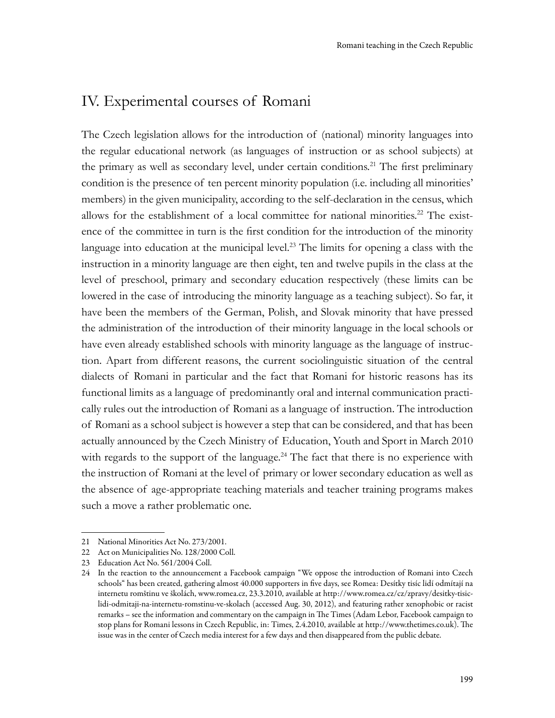## IV. Experimental courses of Romani

The Czech legislation allows for the introduction of (national) minority languages into the regular educational network (as languages of instruction or as school subjects) at the primary as well as secondary level, under certain conditions.21 The first preliminary condition is the presence of ten percent minority population (i.e. including all minorities' members) in the given municipality, according to the self-declaration in the census, which allows for the establishment of a local committee for national minorities.22 The existence of the committee in turn is the first condition for the introduction of the minority language into education at the municipal level.<sup>23</sup> The limits for opening a class with the instruction in a minority language are then eight, ten and twelve pupils in the class at the level of preschool, primary and secondary education respectively (these limits can be lowered in the case of introducing the minority language as a teaching subject). So far, it have been the members of the German, Polish, and Slovak minority that have pressed the administration of the introduction of their minority language in the local schools or have even already established schools with minority language as the language of instruction. Apart from different reasons, the current sociolinguistic situation of the central dialects of Romani in particular and the fact that Romani for historic reasons has its functional limits as a language of predominantly oral and internal communication practically rules out the introduction of Romani as a language of instruction. The introduction of Romani as a school subject is however a step that can be considered, and that has been actually announced by the Czech Ministry of Education, Youth and Sport in March 2010 with regards to the support of the language.<sup>24</sup> The fact that there is no experience with the instruction of Romani at the level of primary or lower secondary education as well as the absence of age-appropriate teaching materials and teacher training programs makes such a move a rather problematic one.

<sup>21</sup> National Minorities Act No. 273/2001.

<sup>22</sup> Act on Municipalities No. 128/2000 Coll.

<sup>23</sup> Education Act No. 561/2004 Coll.

<sup>24</sup> In the reaction to the announcement a Facebook campaign "We oppose the introduction of Romani into Czech schools" has been created, gathering almost 40.000 supporters in five days, see Romea: Desítky tisíc lidí odmítají na internetu romštinu ve školách, www.romea.cz, 23.3.2010, available at http://www.romea.cz/cz/zpravy/desitky-tisiclidi-odmitaji-na-internetu-romstinu-ve-skolach (accessed Aug. 30, 2012), and featuring rather xenophobic or racist remarks – see the information and commentary on the campaign in The Times (Adam Lebor, Facebook campaign to stop plans for Romani lessons in Czech Republic, in: Times, 2.4.2010, available at http://www.thetimes.co.uk). The issue was in the center of Czech media interest for a few days and then disappeared from the public debate.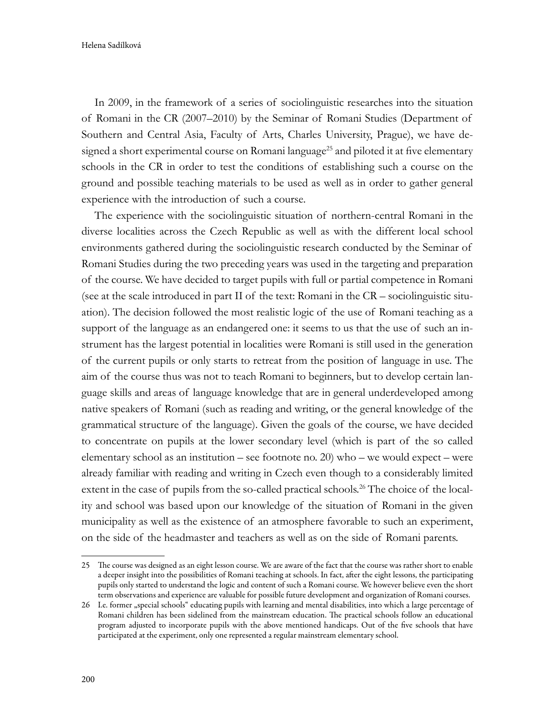Helena Sadílková

In 2009, in the framework of a series of sociolinguistic researches into the situation of Romani in the CR (2007–2010) by the Seminar of Romani Studies (Department of Southern and Central Asia, Faculty of Arts, Charles University, Prague), we have designed a short experimental course on Romani language<sup>25</sup> and piloted it at five elementary schools in the CR in order to test the conditions of establishing such a course on the ground and possible teaching materials to be used as well as in order to gather general experience with the introduction of such a course.

The experience with the sociolinguistic situation of northern-central Romani in the diverse localities across the Czech Republic as well as with the different local school environments gathered during the sociolinguistic research conducted by the Seminar of Romani Studies during the two preceding years was used in the targeting and preparation of the course. We have decided to target pupils with full or partial competence in Romani (see at the scale introduced in part II of the text: Romani in the CR – sociolinguistic situation). The decision followed the most realistic logic of the use of Romani teaching as a support of the language as an endangered one: it seems to us that the use of such an instrument has the largest potential in localities were Romani is still used in the generation of the current pupils or only starts to retreat from the position of language in use. The aim of the course thus was not to teach Romani to beginners, but to develop certain language skills and areas of language knowledge that are in general underdeveloped among native speakers of Romani (such as reading and writing, or the general knowledge of the grammatical structure of the language). Given the goals of the course, we have decided to concentrate on pupils at the lower secondary level (which is part of the so called elementary school as an institution – see footnote no. 20) who – we would expect – were already familiar with reading and writing in Czech even though to a considerably limited extent in the case of pupils from the so-called practical schools.<sup>26</sup> The choice of the locality and school was based upon our knowledge of the situation of Romani in the given municipality as well as the existence of an atmosphere favorable to such an experiment, on the side of the headmaster and teachers as well as on the side of Romani parents.

<sup>25</sup> The course was designed as an eight lesson course. We are aware of the fact that the course was rather short to enable a deeper insight into the possibilities of Romani teaching at schools. In fact, after the eight lessons, the participating pupils only started to understand the logic and content of such a Romani course. We however believe even the short term observations and experience are valuable for possible future development and organization of Romani courses.

<sup>26</sup> I.e. former "special schools" educating pupils with learning and mental disabilities, into which a large percentage of Romani children has been sidelined from the mainstream education. The practical schools follow an educational program adjusted to incorporate pupils with the above mentioned handicaps. Out of the five schools that have participated at the experiment, only one represented a regular mainstream elementary school.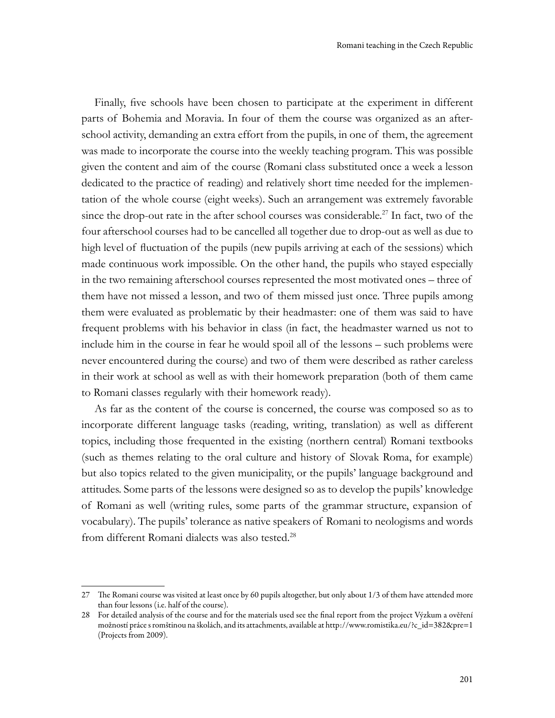Finally, five schools have been chosen to participate at the experiment in different parts of Bohemia and Moravia. In four of them the course was organized as an afterschool activity, demanding an extra effort from the pupils, in one of them, the agreement was made to incorporate the course into the weekly teaching program. This was possible given the content and aim of the course (Romani class substituted once a week a lesson dedicated to the practice of reading) and relatively short time needed for the implementation of the whole course (eight weeks). Such an arrangement was extremely favorable since the drop-out rate in the after school courses was considerable.27 In fact, two of the four afterschool courses had to be cancelled all together due to drop-out as well as due to high level of fluctuation of the pupils (new pupils arriving at each of the sessions) which made continuous work impossible. On the other hand, the pupils who stayed especially in the two remaining afterschool courses represented the most motivated ones – three of them have not missed a lesson, and two of them missed just once. Three pupils among them were evaluated as problematic by their headmaster: one of them was said to have frequent problems with his behavior in class (in fact, the headmaster warned us not to include him in the course in fear he would spoil all of the lessons – such problems were never encountered during the course) and two of them were described as rather careless in their work at school as well as with their homework preparation (both of them came to Romani classes regularly with their homework ready).

As far as the content of the course is concerned, the course was composed so as to incorporate different language tasks (reading, writing, translation) as well as different topics, including those frequented in the existing (northern central) Romani textbooks (such as themes relating to the oral culture and history of Slovak Roma, for example) but also topics related to the given municipality, or the pupils' language background and attitudes. Some parts of the lessons were designed so as to develop the pupils' knowledge of Romani as well (writing rules, some parts of the grammar structure, expansion of vocabulary). The pupils' tolerance as native speakers of Romani to neologisms and words from different Romani dialects was also tested.28

<sup>27</sup> The Romani course was visited at least once by 60 pupils altogether, but only about 1/3 of them have attended more than four lessons (i.e. half of the course).

<sup>28</sup> For detailed analysis of the course and for the materials used see the final report from the project Výzkum a ověření možností práce s romštinou na školách, and its attachments, available at http://www.romistika.eu/?c\_id=382&pre=1 (Projects from 2009).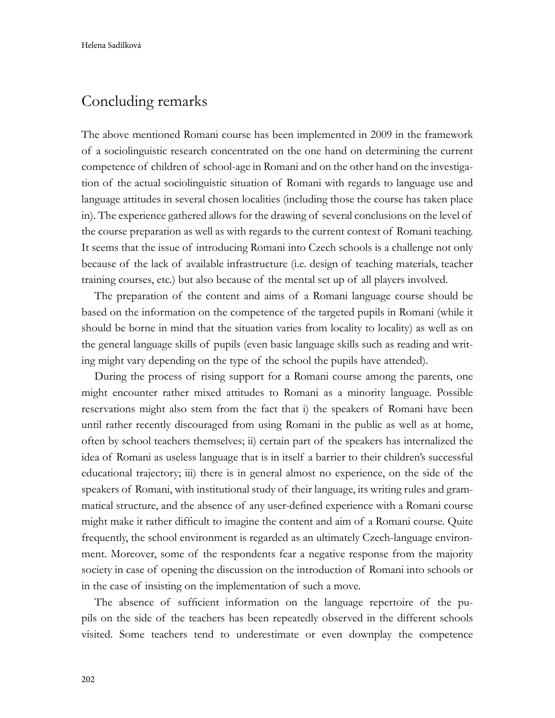## Concluding remarks

The above mentioned Romani course has been implemented in 2009 in the framework of a sociolinguistic research concentrated on the one hand on determining the current competence of children of school-age in Romani and on the other hand on the investigation of the actual sociolinguistic situation of Romani with regards to language use and language attitudes in several chosen localities (including those the course has taken place in). The experience gathered allows for the drawing of several conclusions on the level of the course preparation as well as with regards to the current context of Romani teaching. It seems that the issue of introducing Romani into Czech schools is a challenge not only because of the lack of available infrastructure (i.e. design of teaching materials, teacher training courses, etc.) but also because of the mental set up of all players involved.

The preparation of the content and aims of a Romani language course should be based on the information on the competence of the targeted pupils in Romani (while it should be borne in mind that the situation varies from locality to locality) as well as on the general language skills of pupils (even basic language skills such as reading and writing might vary depending on the type of the school the pupils have attended).

During the process of rising support for a Romani course among the parents, one might encounter rather mixed attitudes to Romani as a minority language. Possible reservations might also stem from the fact that i) the speakers of Romani have been until rather recently discouraged from using Romani in the public as well as at home, often by school teachers themselves; ii) certain part of the speakers has internalized the idea of Romani as useless language that is in itself a barrier to their children's successful educational trajectory; iii) there is in general almost no experience, on the side of the speakers of Romani, with institutional study of their language, its writing rules and grammatical structure, and the absence of any user-defined experience with a Romani course might make it rather difficult to imagine the content and aim of a Romani course. Quite frequently, the school environment is regarded as an ultimately Czech-language environment. Moreover, some of the respondents fear a negative response from the majority society in case of opening the discussion on the introduction of Romani into schools or in the case of insisting on the implementation of such a move.

The absence of sufficient information on the language repertoire of the pupils on the side of the teachers has been repeatedly observed in the different schools visited. Some teachers tend to underestimate or even downplay the competence